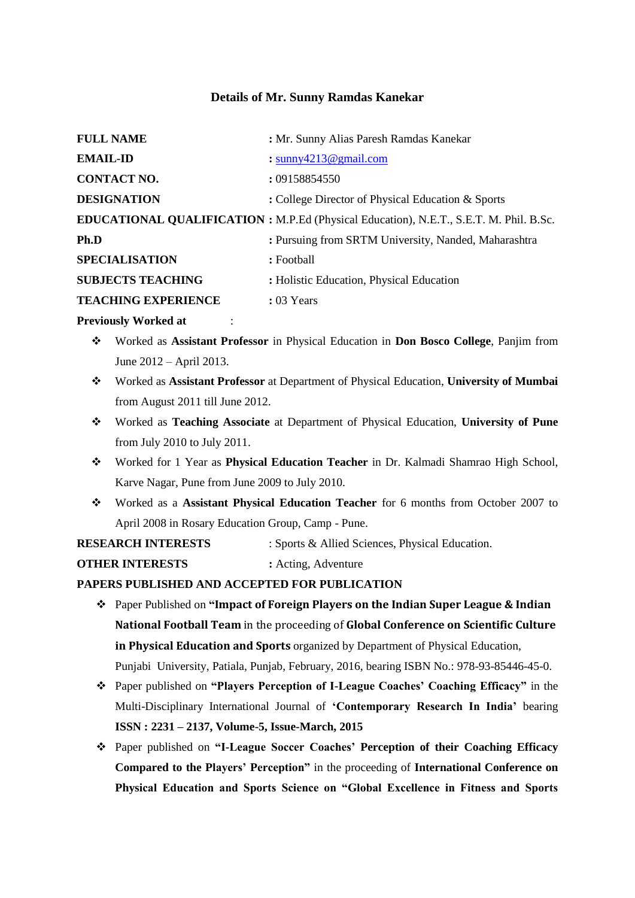# **Details of Mr. Sunny Ramdas Kanekar**

| <b>FULL NAME</b>           | : Mr. Sunny Alias Paresh Ramdas Kanekar                                                |
|----------------------------|----------------------------------------------------------------------------------------|
| <b>EMAIL-ID</b>            | : $\frac{\text{sumy4213}}{2 \text{ g}}$ and $\frac{\text{sumy1}}{2 \text{ m}}$         |
| <b>CONTACT NO.</b>         | : 09158854550                                                                          |
| <b>DESIGNATION</b>         | : College Director of Physical Education & Sports                                      |
|                            | EDUCATIONAL QUALIFICATION : M.P.Ed (Physical Education), N.E.T., S.E.T. M. Phil. B.Sc. |
| Ph.D                       | : Pursuing from SRTM University, Nanded, Maharashtra                                   |
| <b>SPECIALISATION</b>      | : Football                                                                             |
| <b>SUBJECTS TEACHING</b>   | : Holistic Education, Physical Education                                               |
| <b>TEACHING EXPERIENCE</b> | $: 03$ Years                                                                           |

## **Previously Worked at : :**

- Worked as **Assistant Professor** in Physical Education in **Don Bosco College**, Panjim from June 2012 – April 2013.
- Worked as **Assistant Professor** at Department of Physical Education, **University of Mumbai** from August 2011 till June 2012.
- Worked as **Teaching Associate** at Department of Physical Education, **University of Pune** from July 2010 to July 2011.
- Worked for 1 Year as **Physical Education Teacher** in Dr. Kalmadi Shamrao High School, Karve Nagar, Pune from June 2009 to July 2010.
- Worked as a **Assistant Physical Education Teacher** for 6 months from October 2007 to April 2008 in Rosary Education Group, Camp - Pune.
- **RESEARCH INTERESTS** : Sports & Allied Sciences, Physical Education.

**OTHER INTERESTS :** Acting, Adventure

# **PAPERS PUBLISHED AND ACCEPTED FOR PUBLICATION**

- Paper Published on **"Impact of Foreign Players on the Indian Super League & Indian National Football Team** in the proceeding of **Global Conference on Scientific Culture in Physical Education and Sports** organized by Department of Physical Education, Punjabi University, Patiala, Punjab, February, 2016, bearing ISBN No.: 978-93-85446-45-0.
- Paper published on **"Players Perception of I-League Coaches' Coaching Efficacy"** in the Multi-Disciplinary International Journal of **'Contemporary Research In India'** bearing **ISSN : 2231 – 2137, Volume-5, Issue-March, 2015**
- Paper published on **"I-League Soccer Coaches' Perception of their Coaching Efficacy Compared to the Players' Perception"** in the proceeding of **International Conference on Physical Education and Sports Science on "Global Excellence in Fitness and Sports**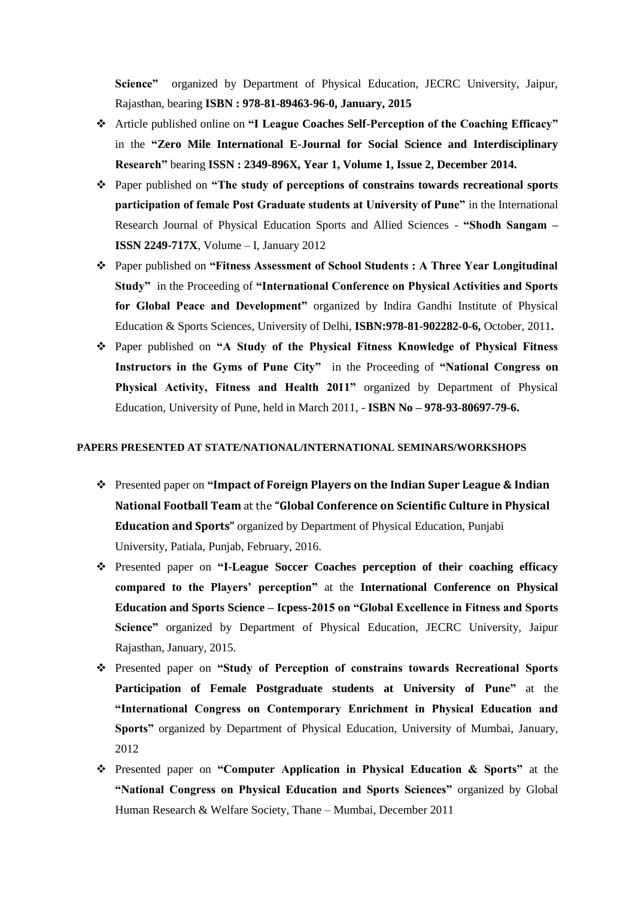**Science"** organized by Department of Physical Education, JECRC University, Jaipur, Rajasthan, bearing **ISBN : 978-81-89463-96-0, January, 2015**

- Article published online on **"I League Coaches Self-Perception of the Coaching Efficacy"** in the **"Zero Mile International E-Journal for Social Science and Interdisciplinary Research"** bearing **ISSN : 2349-896X, Year 1, Volume 1, Issue 2, December 2014.**
- Paper published on **"The study of perceptions of constrains towards recreational sports participation of female Post Graduate students at University of Pune"** in the International Research Journal of Physical Education Sports and Allied Sciences - **"Shodh Sangam – ISSN 2249-717X**, Volume – I, January 2012
- Paper published on **"Fitness Assessment of School Students : A Three Year Longitudinal Study"** in the Proceeding of **"International Conference on Physical Activities and Sports for Global Peace and Development"** organized by Indira Gandhi Institute of Physical Education & Sports Sciences, University of Delhi, **ISBN:978-81-902282-0-6,** October, 2011**.**
- Paper published on **"A Study of the Physical Fitness Knowledge of Physical Fitness Instructors in the Gyms of Pune City"** in the Proceeding of **"National Congress on Physical Activity, Fitness and Health 2011"** organized by Department of Physical Education, University of Pune, held in March 2011, - **ISBN No – 978-93-80697-79-6.**

#### **PAPERS PRESENTED AT STATE/NATIONAL/INTERNATIONAL SEMINARS/WORKSHOPS**

- Presented paper on **"Impact of Foreign Players on the Indian Super League & Indian National Football Team** at the **"Global Conference on Scientific Culture in Physical Education and Sports"** organized by Department of Physical Education, Punjabi University, Patiala, Punjab, February, 2016.
- Presented paper on **"I-League Soccer Coaches perception of their coaching efficacy compared to the Players' perception"** at the **International Conference on Physical Education and Sports Science – Icpess-2015 on "Global Excellence in Fitness and Sports Science"** organized by Department of Physical Education, JECRC University, Jaipur Rajasthan, January, 2015.
- Presented paper on **"Study of Perception of constrains towards Recreational Sports Participation of Female Postgraduate students at University of Pune"** at the **"International Congress on Contemporary Enrichment in Physical Education and Sports"** organized by Department of Physical Education, University of Mumbai, January, 2012
- Presented paper on **"Computer Application in Physical Education & Sports"** at the **"National Congress on Physical Education and Sports Sciences"** organized by Global Human Research & Welfare Society, Thane – Mumbai, December 2011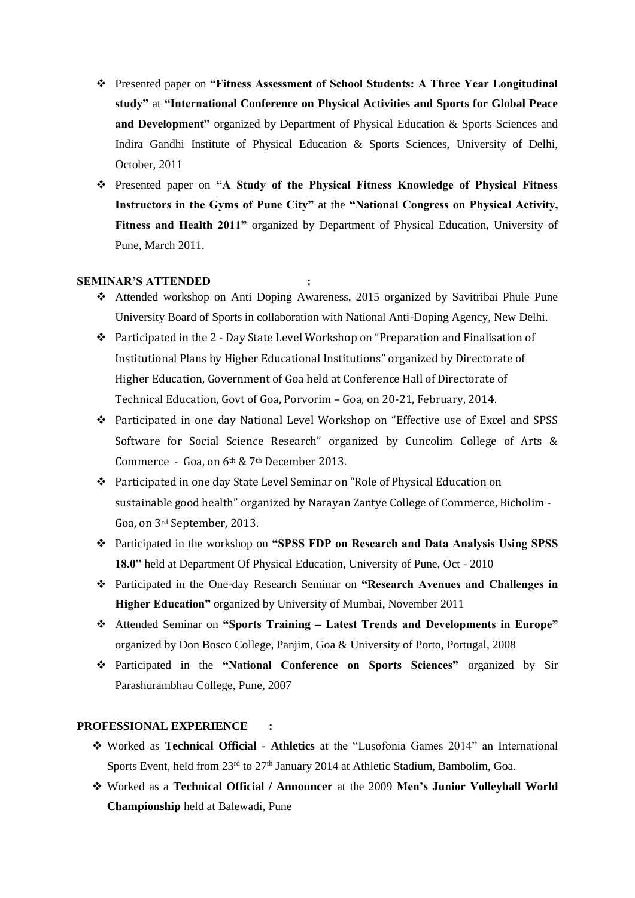- Presented paper on **"Fitness Assessment of School Students: A Three Year Longitudinal study"** at **"International Conference on Physical Activities and Sports for Global Peace and Development"** organized by Department of Physical Education & Sports Sciences and Indira Gandhi Institute of Physical Education & Sports Sciences, University of Delhi, October, 2011
- Presented paper on **"A Study of the Physical Fitness Knowledge of Physical Fitness Instructors in the Gyms of Pune City"** at the **"National Congress on Physical Activity, Fitness and Health 2011"** organized by Department of Physical Education, University of Pune, March 2011.

## **SEMINAR'S ATTENDED :**

- Attended workshop on Anti Doping Awareness, 2015 organized by Savitribai Phule Pune University Board of Sports in collaboration with National Anti-Doping Agency, New Delhi.
- $\triangle$  Participated in the 2 Day State Level Workshop on "Preparation and Finalisation of Institutional Plans by Higher Educational Institutions" organized by Directorate of Higher Education, Government of Goa held at Conference Hall of Directorate of Technical Education, Govt of Goa, Porvorim – Goa, on 20-21, February, 2014.
- Participated in one day National Level Workshop on "Effective use of Excel and SPSS Software for Social Science Research" organized by Cuncolim College of Arts & Commerce - Goa, on 6<sup>th</sup> & 7<sup>th</sup> December 2013.
- Participated in one day State Level Seminar on "Role of Physical Education on sustainable good health" organized by Narayan Zantye College of Commerce, Bicholim - Goa, on 3rd September, 2013.
- Participated in the workshop on **"SPSS FDP on Research and Data Analysis Using SPSS 18.0"** held at Department Of Physical Education, University of Pune, Oct - 2010
- Participated in the One-day Research Seminar on **"Research Avenues and Challenges in Higher Education"** organized by University of Mumbai, November 2011
- Attended Seminar on **"Sports Training – Latest Trends and Developments in Europe"** organized by Don Bosco College, Panjim, Goa & University of Porto, Portugal, 2008
- Participated in the **"National Conference on Sports Sciences"** organized by Sir Parashurambhau College, Pune, 2007

## **PROFESSIONAL EXPERIENCE :**

- Worked as **Technical Official - Athletics** at the "Lusofonia Games 2014" an International Sports Event, held from 23<sup>rd</sup> to 27<sup>th</sup> January 2014 at Athletic Stadium, Bambolim, Goa.
- Worked as a **Technical Official / Announcer** at the 2009 **Men's Junior Volleyball World Championship** held at Balewadi, Pune